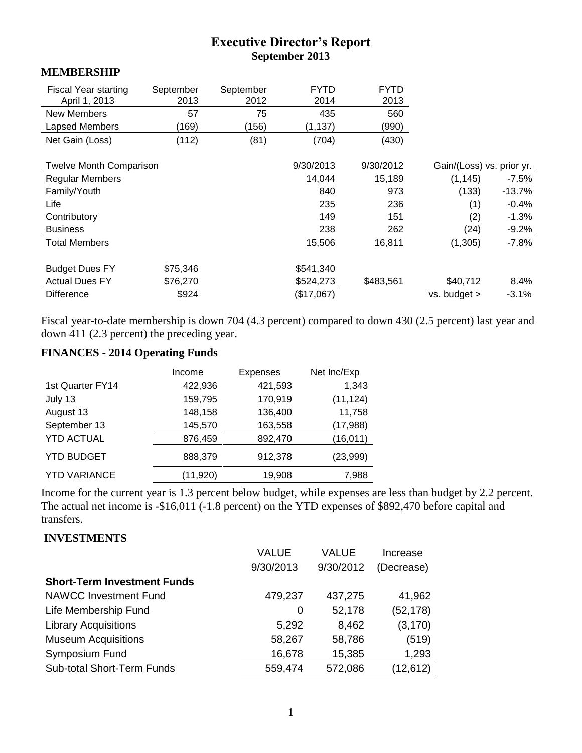# **Executive Director's Report September 2013**

#### **MEMBERSHIP**

| <b>Fiscal Year starting</b><br>April 1, 2013 | September<br>2013 | September<br>2012 | <b>FYTD</b><br>2014 | <b>FYTD</b><br>2013 |                           |          |
|----------------------------------------------|-------------------|-------------------|---------------------|---------------------|---------------------------|----------|
| <b>New Members</b>                           | 57                | 75                | 435                 | 560                 |                           |          |
| Lapsed Members                               | (169)             | (156)             | (1, 137)            | (990)               |                           |          |
| Net Gain (Loss)                              | (112)             | (81)              | (704)               | (430)               |                           |          |
| <b>Twelve Month Comparison</b>               |                   |                   | 9/30/2013           | 9/30/2012           | Gain/(Loss) vs. prior yr. |          |
| <b>Regular Members</b>                       |                   |                   | 14,044              | 15,189              | (1, 145)                  | $-7.5\%$ |
| Family/Youth                                 |                   |                   | 840                 | 973                 | (133)                     | $-13.7%$ |
| Life                                         |                   |                   | 235                 | 236                 | (1)                       | $-0.4%$  |
| Contributory                                 |                   |                   | 149                 | 151                 | (2)                       | $-1.3%$  |
| <b>Business</b>                              |                   |                   | 238                 | 262                 | (24)                      | $-9.2%$  |
| <b>Total Members</b>                         |                   |                   | 15,506              | 16,811              | (1,305)                   | $-7.8\%$ |
| <b>Budget Dues FY</b>                        | \$75,346          |                   | \$541,340           |                     |                           |          |
| <b>Actual Dues FY</b>                        | \$76,270          |                   | \$524,273           | \$483,561           | \$40,712                  | 8.4%     |
| <b>Difference</b>                            | \$924             |                   | (\$17,067)          |                     | $vs.$ budget $>$          | $-3.1%$  |

Fiscal year-to-date membership is down 704 (4.3 percent) compared to down 430 (2.5 percent) last year and down 411 (2.3 percent) the preceding year.

# **FINANCES - 2014 Operating Funds**

|                     | Income   | <b>Expenses</b> | Net Inc/Exp |
|---------------------|----------|-----------------|-------------|
| 1st Quarter FY14    | 422,936  | 421,593         | 1,343       |
| July 13             | 159,795  | 170,919         | (11, 124)   |
| August 13           | 148,158  | 136,400         | 11,758      |
| September 13        | 145,570  | 163,558         | (17, 988)   |
| <b>YTD ACTUAL</b>   | 876,459  | 892,470         | (16, 011)   |
| <b>YTD BUDGET</b>   | 888,379  | 912,378         | (23,999)    |
| <b>YTD VARIANCE</b> | (11,920) | 19,908          | 7,988       |

Income for the current year is 1.3 percent below budget, while expenses are less than budget by 2.2 percent. The actual net income is -\$16,011 (-1.8 percent) on the YTD expenses of \$892,470 before capital and transfers.

#### **INVESTMENTS**

|                                    | <b>VALUE</b> | VALUE     | Increase   |
|------------------------------------|--------------|-----------|------------|
|                                    | 9/30/2013    | 9/30/2012 | (Decrease) |
| <b>Short-Term Investment Funds</b> |              |           |            |
| <b>NAWCC Investment Fund</b>       | 479,237      | 437,275   | 41,962     |
| Life Membership Fund               | 0            | 52,178    | (52, 178)  |
| <b>Library Acquisitions</b>        | 5,292        | 8,462     | (3, 170)   |
| <b>Museum Acquisitions</b>         | 58,267       | 58,786    | (519)      |
| Symposium Fund                     | 16,678       | 15,385    | 1,293      |
| <b>Sub-total Short-Term Funds</b>  | 559,474      | 572,086   | 12,612)    |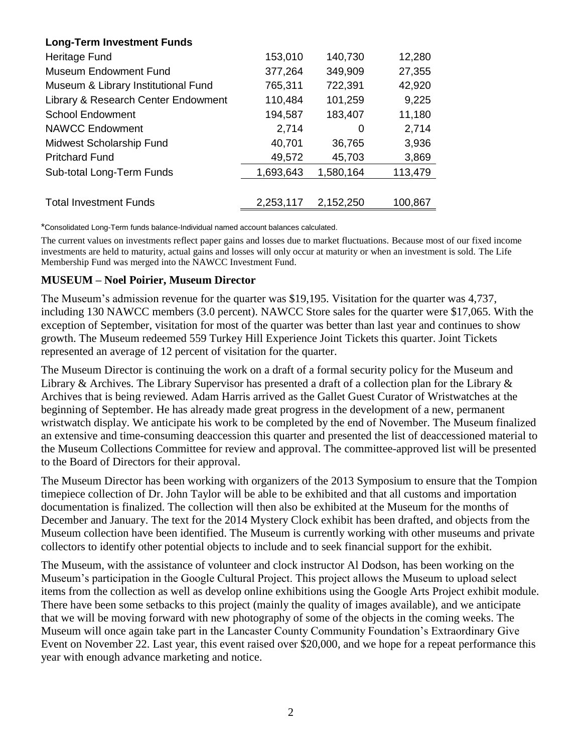| <b>Long-Term Investment Funds</b>   |           |           |         |
|-------------------------------------|-----------|-----------|---------|
| Heritage Fund                       | 153,010   | 140,730   | 12,280  |
| <b>Museum Endowment Fund</b>        | 377,264   | 349,909   | 27,355  |
| Museum & Library Institutional Fund | 765,311   | 722,391   | 42,920  |
| Library & Research Center Endowment | 110,484   | 101,259   | 9,225   |
| <b>School Endowment</b>             | 194,587   | 183,407   | 11,180  |
| <b>NAWCC Endowment</b>              | 2,714     | 0         | 2,714   |
| Midwest Scholarship Fund            | 40,701    | 36,765    | 3,936   |
| <b>Pritchard Fund</b>               | 49,572    | 45,703    | 3,869   |
| Sub-total Long-Term Funds           | 1,693,643 | 1,580,164 | 113,479 |
|                                     |           |           |         |
| <b>Total Investment Funds</b>       | 2,253,117 | 2,152,250 | 100,867 |
|                                     |           |           |         |

\*Consolidated Long-Term funds balance-Individual named account balances calculated.

The current values on investments reflect paper gains and losses due to market fluctuations. Because most of our fixed income investments are held to maturity, actual gains and losses will only occur at maturity or when an investment is sold. The Life Membership Fund was merged into the NAWCC Investment Fund.

#### **MUSEUM – Noel Poirier, Museum Director**

The Museum's admission revenue for the quarter was \$19,195. Visitation for the quarter was 4,737, including 130 NAWCC members (3.0 percent). NAWCC Store sales for the quarter were \$17,065. With the exception of September, visitation for most of the quarter was better than last year and continues to show growth. The Museum redeemed 559 Turkey Hill Experience Joint Tickets this quarter. Joint Tickets represented an average of 12 percent of visitation for the quarter.

The Museum Director is continuing the work on a draft of a formal security policy for the Museum and Library & Archives. The Library Supervisor has presented a draft of a collection plan for the Library & Archives that is being reviewed. Adam Harris arrived as the Gallet Guest Curator of Wristwatches at the beginning of September. He has already made great progress in the development of a new, permanent wristwatch display. We anticipate his work to be completed by the end of November. The Museum finalized an extensive and time-consuming deaccession this quarter and presented the list of deaccessioned material to the Museum Collections Committee for review and approval. The committee-approved list will be presented to the Board of Directors for their approval.

The Museum Director has been working with organizers of the 2013 Symposium to ensure that the Tompion timepiece collection of Dr. John Taylor will be able to be exhibited and that all customs and importation documentation is finalized. The collection will then also be exhibited at the Museum for the months of December and January. The text for the 2014 Mystery Clock exhibit has been drafted, and objects from the Museum collection have been identified. The Museum is currently working with other museums and private collectors to identify other potential objects to include and to seek financial support for the exhibit.

The Museum, with the assistance of volunteer and clock instructor Al Dodson, has been working on the Museum's participation in the Google Cultural Project. This project allows the Museum to upload select items from the collection as well as develop online exhibitions using the Google Arts Project exhibit module. There have been some setbacks to this project (mainly the quality of images available), and we anticipate that we will be moving forward with new photography of some of the objects in the coming weeks. The Museum will once again take part in the Lancaster County Community Foundation's Extraordinary Give Event on November 22. Last year, this event raised over \$20,000, and we hope for a repeat performance this year with enough advance marketing and notice.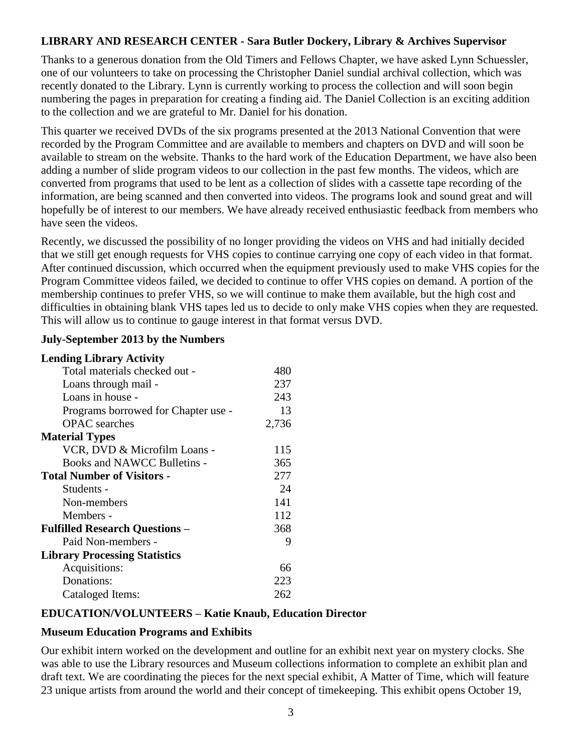### **LIBRARY AND RESEARCH CENTER - Sara Butler Dockery, Library & Archives Supervisor**

Thanks to a generous donation from the Old Timers and Fellows Chapter, we have asked Lynn Schuessler, one of our volunteers to take on processing the Christopher Daniel sundial archival collection, which was recently donated to the Library. Lynn is currently working to process the collection and will soon begin numbering the pages in preparation for creating a finding aid. The Daniel Collection is an exciting addition to the collection and we are grateful to Mr. Daniel for his donation.

This quarter we received DVDs of the six programs presented at the 2013 National Convention that were recorded by the Program Committee and are available to members and chapters on DVD and will soon be available to stream on the website. Thanks to the hard work of the Education Department, we have also been adding a number of slide program videos to our collection in the past few months. The videos, which are converted from programs that used to be lent as a collection of slides with a cassette tape recording of the information, are being scanned and then converted into videos. The programs look and sound great and will hopefully be of interest to our members. We have already received enthusiastic feedback from members who have seen the videos.

Recently, we discussed the possibility of no longer providing the videos on VHS and had initially decided that we still get enough requests for VHS copies to continue carrying one copy of each video in that format. After continued discussion, which occurred when the equipment previously used to make VHS copies for the Program Committee videos failed, we decided to continue to offer VHS copies on demand. A portion of the membership continues to prefer VHS, so we will continue to make them available, but the high cost and difficulties in obtaining blank VHS tapes led us to decide to only make VHS copies when they are requested. This will allow us to continue to gauge interest in that format versus DVD.

#### **July-September 2013 by the Numbers**

#### **Lending Library Activity**

| Total materials checked out -         | 480   |
|---------------------------------------|-------|
| Loans through mail -                  | 237   |
| Loans in house -                      | 243   |
| Programs borrowed for Chapter use -   | 13    |
| <b>OPAC</b> searches                  | 2,736 |
| <b>Material Types</b>                 |       |
| VCR, DVD & Microfilm Loans -          | 115   |
| Books and NAWCC Bulletins -           | 365   |
| <b>Total Number of Visitors -</b>     | 277   |
| Students -                            | 24    |
| Non-members                           | 141   |
| Members -                             | 112   |
| <b>Fulfilled Research Questions -</b> | 368   |
| Paid Non-members -                    | 9     |
| <b>Library Processing Statistics</b>  |       |
| Acquisitions:                         | 66    |
| Donations:                            | 223   |
| Cataloged Items:                      | 262   |
|                                       |       |

#### **EDUCATION/VOLUNTEERS – Katie Knaub, Education Director**

#### **Museum Education Programs and Exhibits**

Our exhibit intern worked on the development and outline for an exhibit next year on mystery clocks. She was able to use the Library resources and Museum collections information to complete an exhibit plan and draft text. We are coordinating the pieces for the next special exhibit, A Matter of Time, which will feature 23 unique artists from around the world and their concept of timekeeping. This exhibit opens October 19,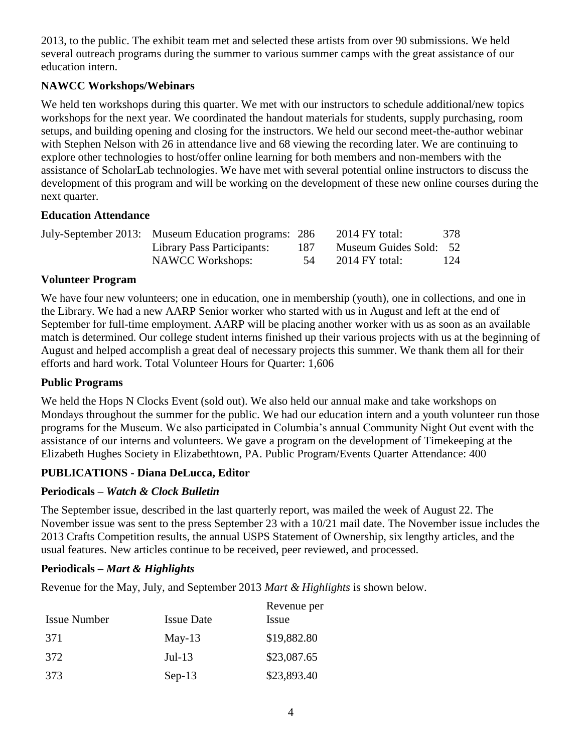2013, to the public. The exhibit team met and selected these artists from over 90 submissions. We held several outreach programs during the summer to various summer camps with the great assistance of our education intern.

## **NAWCC Workshops/Webinars**

We held ten workshops during this quarter. We met with our instructors to schedule additional/new topics workshops for the next year. We coordinated the handout materials for students, supply purchasing, room setups, and building opening and closing for the instructors. We held our second meet-the-author webinar with Stephen Nelson with 26 in attendance live and 68 viewing the recording later. We are continuing to explore other technologies to host/offer online learning for both members and non-members with the assistance of ScholarLab technologies. We have met with several potential online instructors to discuss the development of this program and will be working on the development of these new online courses during the next quarter.

### **Education Attendance**

| July-September 2013: Museum Education programs: 286 |     | $2014$ FY total:       | 378 |
|-----------------------------------------------------|-----|------------------------|-----|
| Library Pass Participants:                          | 187 | Museum Guides Sold: 52 |     |
| NAWCC Workshops:                                    |     | $2014$ FY total:       | 124 |

### **Volunteer Program**

We have four new volunteers; one in education, one in membership (youth), one in collections, and one in the Library. We had a new AARP Senior worker who started with us in August and left at the end of September for full-time employment. AARP will be placing another worker with us as soon as an available match is determined. Our college student interns finished up their various projects with us at the beginning of August and helped accomplish a great deal of necessary projects this summer. We thank them all for their efforts and hard work. Total Volunteer Hours for Quarter: 1,606

#### **Public Programs**

We held the Hops N Clocks Event (sold out). We also held our annual make and take workshops on Mondays throughout the summer for the public. We had our education intern and a youth volunteer run those programs for the Museum. We also participated in Columbia's annual Community Night Out event with the assistance of our interns and volunteers. We gave a program on the development of Timekeeping at the Elizabeth Hughes Society in Elizabethtown, PA. Public Program/Events Quarter Attendance: 400

## **PUBLICATIONS - Diana DeLucca, Editor**

## **Periodicals –** *Watch & Clock Bulletin*

The September issue, described in the last quarterly report, was mailed the week of August 22. The November issue was sent to the press September 23 with a 10/21 mail date. The November issue includes the 2013 Crafts Competition results, the annual USPS Statement of Ownership, six lengthy articles, and the usual features. New articles continue to be received, peer reviewed, and processed.

## **Periodicals –** *Mart & Highlights*

Revenue for the May, July, and September 2013 *Mart & Highlights* is shown below.

| <b>Issue Number</b> | <b>Issue Date</b> | Revenue per<br><i>Issue</i> |
|---------------------|-------------------|-----------------------------|
| 371                 | $May-13$          | \$19,882.80                 |
| 372                 | $Jul-13$          | \$23,087.65                 |
| 373                 | $Sep-13$          | \$23,893.40                 |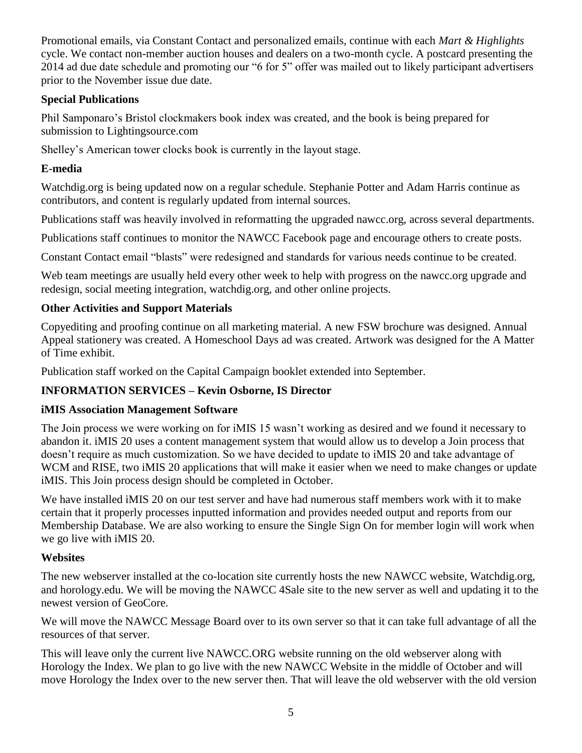Promotional emails, via Constant Contact and personalized emails, continue with each *Mart & Highlights*  cycle. We contact non-member auction houses and dealers on a two-month cycle. A postcard presenting the 2014 ad due date schedule and promoting our "6 for 5" offer was mailed out to likely participant advertisers prior to the November issue due date.

# **Special Publications**

Phil Samponaro's Bristol clockmakers book index was created, and the book is being prepared for submission to Lightingsource.com

Shelley's American tower clocks book is currently in the layout stage.

# **E-media**

Watchdig.org is being updated now on a regular schedule. Stephanie Potter and Adam Harris continue as contributors, and content is regularly updated from internal sources.

Publications staff was heavily involved in reformatting the upgraded nawcc.org, across several departments.

Publications staff continues to monitor the NAWCC Facebook page and encourage others to create posts.

Constant Contact email "blasts" were redesigned and standards for various needs continue to be created.

Web team meetings are usually held every other week to help with progress on the nawcc.org upgrade and redesign, social meeting integration, watchdig.org, and other online projects.

# **Other Activities and Support Materials**

Copyediting and proofing continue on all marketing material. A new FSW brochure was designed. Annual Appeal stationery was created. A Homeschool Days ad was created. Artwork was designed for the A Matter of Time exhibit.

Publication staff worked on the Capital Campaign booklet extended into September.

## **INFORMATION SERVICES – Kevin Osborne, IS Director**

## **iMIS Association Management Software**

The Join process we were working on for iMIS 15 wasn't working as desired and we found it necessary to abandon it. iMIS 20 uses a content management system that would allow us to develop a Join process that doesn't require as much customization. So we have decided to update to iMIS 20 and take advantage of WCM and RISE, two iMIS 20 applications that will make it easier when we need to make changes or update iMIS. This Join process design should be completed in October.

We have installed iMIS 20 on our test server and have had numerous staff members work with it to make certain that it properly processes inputted information and provides needed output and reports from our Membership Database. We are also working to ensure the Single Sign On for member login will work when we go live with iMIS 20.

## **Websites**

The new webserver installed at the co-location site currently hosts the new NAWCC website, Watchdig.org, and horology.edu. We will be moving the NAWCC 4Sale site to the new server as well and updating it to the newest version of GeoCore.

We will move the NAWCC Message Board over to its own server so that it can take full advantage of all the resources of that server.

This will leave only the current live NAWCC.ORG website running on the old webserver along with Horology the Index. We plan to go live with the new NAWCC Website in the middle of October and will move Horology the Index over to the new server then. That will leave the old webserver with the old version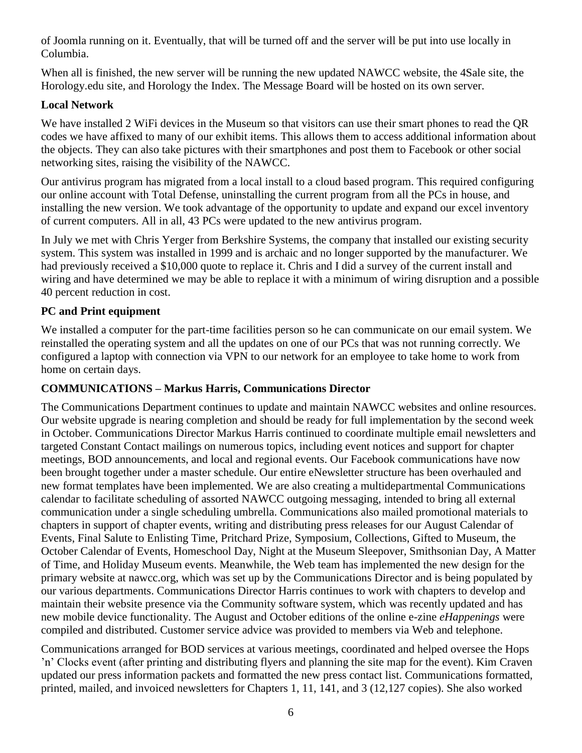of Joomla running on it. Eventually, that will be turned off and the server will be put into use locally in Columbia.

When all is finished, the new server will be running the new updated NAWCC website, the 4Sale site, the Horology.edu site, and Horology the Index. The Message Board will be hosted on its own server.

### **Local Network**

We have installed 2 WiFi devices in the Museum so that visitors can use their smart phones to read the OR codes we have affixed to many of our exhibit items. This allows them to access additional information about the objects. They can also take pictures with their smartphones and post them to Facebook or other social networking sites, raising the visibility of the NAWCC.

Our antivirus program has migrated from a local install to a cloud based program. This required configuring our online account with Total Defense, uninstalling the current program from all the PCs in house, and installing the new version. We took advantage of the opportunity to update and expand our excel inventory of current computers. All in all, 43 PCs were updated to the new antivirus program.

In July we met with Chris Yerger from Berkshire Systems, the company that installed our existing security system. This system was installed in 1999 and is archaic and no longer supported by the manufacturer. We had previously received a \$10,000 quote to replace it. Chris and I did a survey of the current install and wiring and have determined we may be able to replace it with a minimum of wiring disruption and a possible 40 percent reduction in cost.

### **PC and Print equipment**

We installed a computer for the part-time facilities person so he can communicate on our email system. We reinstalled the operating system and all the updates on one of our PCs that was not running correctly. We configured a laptop with connection via VPN to our network for an employee to take home to work from home on certain days.

#### **COMMUNICATIONS – Markus Harris, Communications Director**

The Communications Department continues to update and maintain NAWCC websites and online resources. Our website upgrade is nearing completion and should be ready for full implementation by the second week in October. Communications Director Markus Harris continued to coordinate multiple email newsletters and targeted Constant Contact mailings on numerous topics, including event notices and support for chapter meetings, BOD announcements, and local and regional events. Our Facebook communications have now been brought together under a master schedule. Our entire eNewsletter structure has been overhauled and new format templates have been implemented. We are also creating a multidepartmental Communications calendar to facilitate scheduling of assorted NAWCC outgoing messaging, intended to bring all external communication under a single scheduling umbrella. Communications also mailed promotional materials to chapters in support of chapter events, writing and distributing press releases for our August Calendar of Events, Final Salute to Enlisting Time, Pritchard Prize, Symposium, Collections, Gifted to Museum, the October Calendar of Events, Homeschool Day, Night at the Museum Sleepover, Smithsonian Day, A Matter of Time, and Holiday Museum events. Meanwhile, the Web team has implemented the new design for the primary website at nawcc.org, which was set up by the Communications Director and is being populated by our various departments. Communications Director Harris continues to work with chapters to develop and maintain their website presence via the Community software system, which was recently updated and has new mobile device functionality. The August and October editions of the online e-zine *eHappenings* were compiled and distributed. Customer service advice was provided to members via Web and telephone.

Communications arranged for BOD services at various meetings, coordinated and helped oversee the Hops 'n' Clocks event (after printing and distributing flyers and planning the site map for the event). Kim Craven updated our press information packets and formatted the new press contact list. Communications formatted, printed, mailed, and invoiced newsletters for Chapters 1, 11, 141, and 3 (12,127 copies). She also worked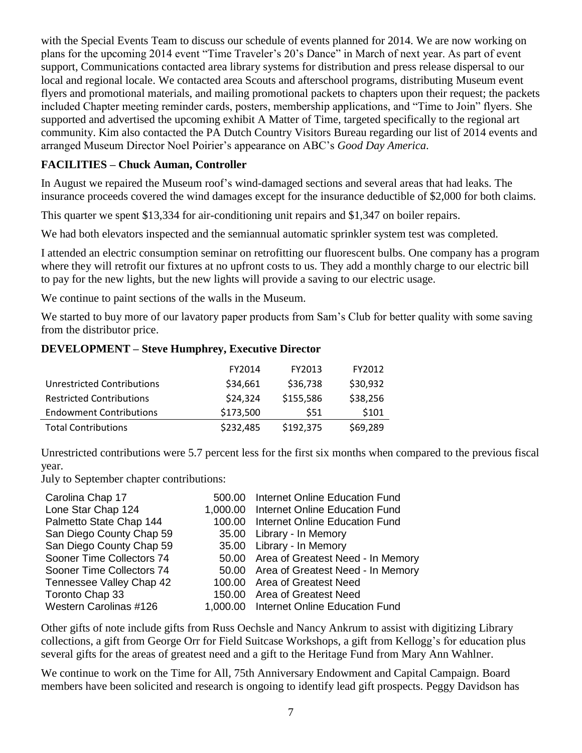with the Special Events Team to discuss our schedule of events planned for 2014. We are now working on plans for the upcoming 2014 event "Time Traveler's 20's Dance" in March of next year. As part of event support, Communications contacted area library systems for distribution and press release dispersal to our local and regional locale. We contacted area Scouts and afterschool programs, distributing Museum event flyers and promotional materials, and mailing promotional packets to chapters upon their request; the packets included Chapter meeting reminder cards, posters, membership applications, and "Time to Join" flyers. She supported and advertised the upcoming exhibit A Matter of Time, targeted specifically to the regional art community. Kim also contacted the PA Dutch Country Visitors Bureau regarding our list of 2014 events and arranged Museum Director Noel Poirier's appearance on ABC's *Good Day America*.

### **FACILITIES – Chuck Auman, Controller**

In August we repaired the Museum roof's wind-damaged sections and several areas that had leaks. The insurance proceeds covered the wind damages except for the insurance deductible of \$2,000 for both claims.

This quarter we spent \$13,334 for air-conditioning unit repairs and \$1,347 on boiler repairs.

We had both elevators inspected and the semiannual automatic sprinkler system test was completed.

I attended an electric consumption seminar on retrofitting our fluorescent bulbs. One company has a program where they will retrofit our fixtures at no upfront costs to us. They add a monthly charge to our electric bill to pay for the new lights, but the new lights will provide a saving to our electric usage.

We continue to paint sections of the walls in the Museum.

We started to buy more of our lavatory paper products from Sam's Club for better quality with some saving from the distributor price.

#### **DEVELOPMENT – Steve Humphrey, Executive Director**

|                                   | FY2014    | FY2013    | FY2012   |
|-----------------------------------|-----------|-----------|----------|
| <b>Unrestricted Contributions</b> | \$34,661  | \$36,738  | \$30,932 |
| <b>Restricted Contributions</b>   | \$24,324  | \$155,586 | \$38,256 |
| <b>Endowment Contributions</b>    | \$173,500 | \$51      | \$101    |
| <b>Total Contributions</b>        | \$232,485 | \$192,375 | \$69,289 |

Unrestricted contributions were 5.7 percent less for the first six months when compared to the previous fiscal year.

July to September chapter contributions:

| Carolina Chap 17          | 500.00 Internet Online Education Fund   |
|---------------------------|-----------------------------------------|
| Lone Star Chap 124        | 1,000.00 Internet Online Education Fund |
| Palmetto State Chap 144   | 100.00 Internet Online Education Fund   |
| San Diego County Chap 59  | 35.00 Library - In Memory               |
| San Diego County Chap 59  | 35.00 Library - In Memory               |
| Sooner Time Collectors 74 | 50.00 Area of Greatest Need - In Memory |
| Sooner Time Collectors 74 | 50.00 Area of Greatest Need - In Memory |
| Tennessee Valley Chap 42  | 100.00 Area of Greatest Need            |
| Toronto Chap 33           | 150.00 Area of Greatest Need            |
| Western Carolinas #126    | 1,000.00 Internet Online Education Fund |
|                           |                                         |

Other gifts of note include gifts from Russ Oechsle and Nancy Ankrum to assist with digitizing Library collections, a gift from George Orr for Field Suitcase Workshops, a gift from Kellogg's for education plus several gifts for the areas of greatest need and a gift to the Heritage Fund from Mary Ann Wahlner.

We continue to work on the Time for All, 75th Anniversary Endowment and Capital Campaign. Board members have been solicited and research is ongoing to identify lead gift prospects. Peggy Davidson has